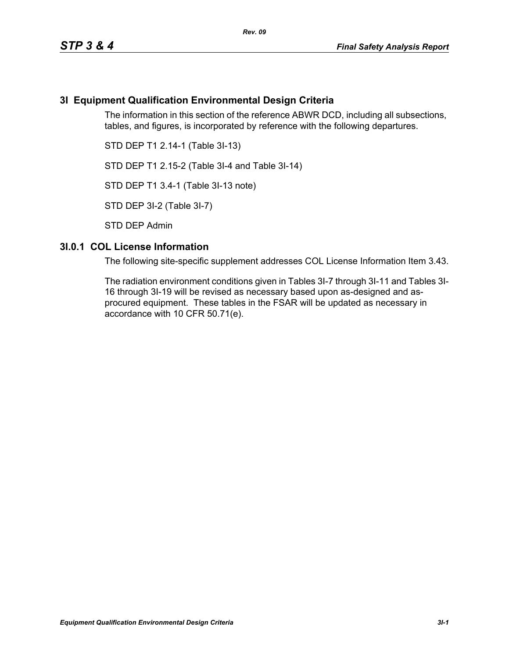# **3I Equipment Qualification Environmental Design Criteria**

The information in this section of the reference ABWR DCD, including all subsections, tables, and figures, is incorporated by reference with the following departures.

STD DEP T1 2.14-1 (Table 3I-13)

STD DEP T1 2.15-2 (Table 3I-4 and Table 3I-14)

STD DEP T1 3.4-1 (Table 3I-13 note)

STD DEP 3I-2 (Table 3I-7)

STD DEP Admin

### **3I.0.1 COL License Information**

The following site-specific supplement addresses COL License Information Item 3.43.

The radiation environment conditions given in Tables 3I-7 through 3I-11 and Tables 3I-16 through 3I-19 will be revised as necessary based upon as-designed and asprocured equipment. These tables in the FSAR will be updated as necessary in accordance with 10 CFR 50.71(e).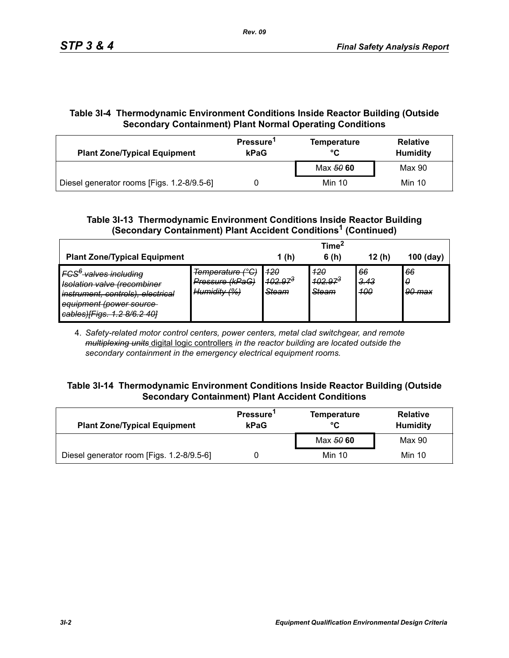# **Table 3I-4 Thermodynamic Environment Conditions Inside Reactor Building (Outside Secondary Containment) Plant Normal Operating Conditions**

| <b>Plant Zone/Typical Equipment</b>        | Pressure <sup>1</sup><br>kPaG | <b>Temperature</b><br>°C | <b>Relative</b><br><b>Humidity</b> |  |
|--------------------------------------------|-------------------------------|--------------------------|------------------------------------|--|
|                                            |                               | Max 50 60                | Max 90                             |  |
| Diesel generator rooms [Figs. 1.2-8/9.5-6] |                               | Min 10                   | Min 10                             |  |

## **Table 3I-13 Thermodynamic Environment Conditions Inside Reactor Building (Secondary Containment) Plant Accident Conditions1 (Continued)**

|                                                                                                                                                                                                           |                                                     |                                     | Time <sup>*</sup>            |                          |                   |
|-----------------------------------------------------------------------------------------------------------------------------------------------------------------------------------------------------------|-----------------------------------------------------|-------------------------------------|------------------------------|--------------------------|-------------------|
| <b>Plant Zone/Typical Equipment</b>                                                                                                                                                                       |                                                     | 1(h)                                | 6(h)                         | 12(h)                    | $100$ (day)       |
| IFCS <sup>6</sup> valves including<br>Jeolation valve (recombiner<br><del>isolation valve necomplife</del><br>instrument, controls), electrical<br>equipment (power source<br>cables)[Figs. 1.2 8/6.2 40] | Temperature (°C)<br>Pressure (kPaG)<br>Humidity (%) | 420<br>$102.97^{3}$<br><b>Steam</b> | 420<br>$402.97^{3}$<br>Steam | 66<br><u>3.43</u><br>400 | 66<br>0<br>90 max |

4. *Safety-related motor control centers, power centers, metal clad switchgear, and remote multiplexing units* digital logic controllers *in the reactor building are located outside the secondary containment in the emergency electrical equipment rooms.*

### **Table 3I-14 Thermodynamic Environment Conditions Inside Reactor Building (Outside Secondary Containment) Plant Accident Conditions**

| <b>Plant Zone/Typical Equipment</b>       | Pressure <sup>1</sup><br>kPaG | <b>Temperature</b><br>°C | <b>Relative</b><br><b>Humidity</b> |  |
|-------------------------------------------|-------------------------------|--------------------------|------------------------------------|--|
|                                           |                               | Max 50 60                | Max 90                             |  |
| Diesel generator room [Figs. 1.2-8/9.5-6] |                               | Min 10                   | Min 10                             |  |